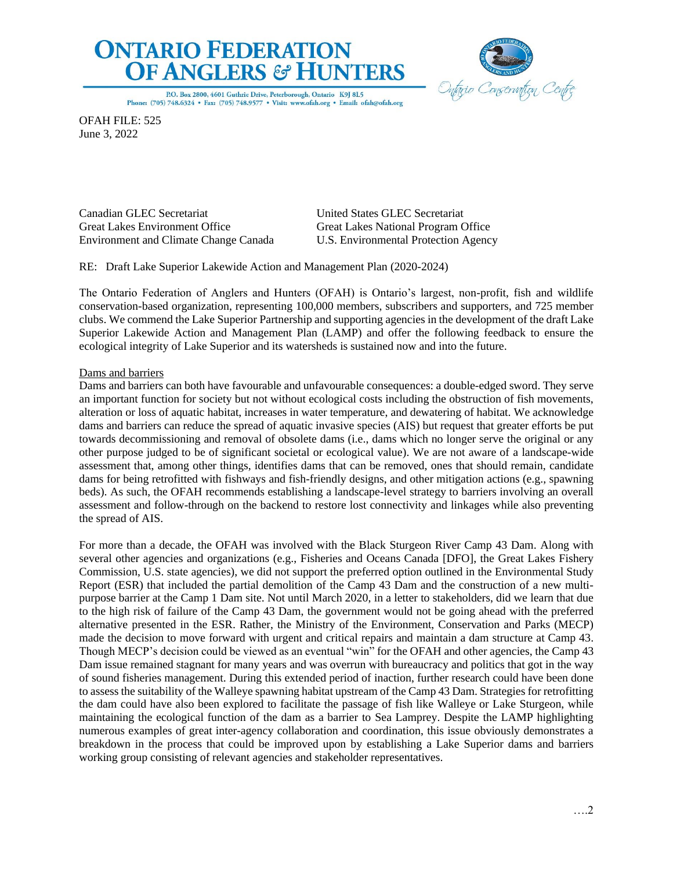# **ONTARIO FEDERATION OF ANGLERS & HUNTERS**



P.O. Box 2800, 4601 Guthrie Drive, Peterborough, Ontario K9J 8L5 Phone: (705) 748.6324 · Fax: (705) 748.9577 · Visit: www.ofah.org · Email: ofah@ofah.org

OFAH FILE: 525 June 3, 2022

Canadian GLEC Secretariat United States GLEC Secretariat Great Lakes Environment Office Great Lakes National Program Office Environment and Climate Change Canada U.S. Environmental Protection Agency

RE: Draft Lake Superior Lakewide Action and Management Plan (2020-2024)

The Ontario Federation of Anglers and Hunters (OFAH) is Ontario's largest, non-profit, fish and wildlife conservation-based organization, representing 100,000 members, subscribers and supporters, and 725 member clubs. We commend the Lake Superior Partnership and supporting agencies in the development of the draft Lake Superior Lakewide Action and Management Plan (LAMP) and offer the following feedback to ensure the ecological integrity of Lake Superior and its watersheds is sustained now and into the future.

# Dams and barriers

Dams and barriers can both have favourable and unfavourable consequences: a double-edged sword. They serve an important function for society but not without ecological costs including the obstruction of fish movements, alteration or loss of aquatic habitat, increases in water temperature, and dewatering of habitat. We acknowledge dams and barriers can reduce the spread of aquatic invasive species (AIS) but request that greater efforts be put towards decommissioning and removal of obsolete dams (i.e., dams which no longer serve the original or any other purpose judged to be of significant societal or ecological value). We are not aware of a landscape-wide assessment that, among other things, identifies dams that can be removed, ones that should remain, candidate dams for being retrofitted with fishways and fish-friendly designs, and other mitigation actions (e.g., spawning beds). As such, the OFAH recommends establishing a landscape-level strategy to barriers involving an overall assessment and follow-through on the backend to restore lost connectivity and linkages while also preventing the spread of AIS.

For more than a decade, the OFAH was involved with the Black Sturgeon River Camp 43 Dam. Along with several other agencies and organizations (e.g., Fisheries and Oceans Canada [DFO], the Great Lakes Fishery Commission, U.S. state agencies), we did not support the preferred option outlined in the Environmental Study Report (ESR) that included the partial demolition of the Camp 43 Dam and the construction of a new multipurpose barrier at the Camp 1 Dam site. Not until March 2020, in a letter to stakeholders, did we learn that due to the high risk of failure of the Camp 43 Dam, the government would not be going ahead with the preferred alternative presented in the ESR. Rather, the Ministry of the Environment, Conservation and Parks (MECP) made the decision to move forward with urgent and critical repairs and maintain a dam structure at Camp 43. Though MECP's decision could be viewed as an eventual "win" for the OFAH and other agencies, the Camp 43 Dam issue remained stagnant for many years and was overrun with bureaucracy and politics that got in the way of sound fisheries management. During this extended period of inaction, further research could have been done to assess the suitability of the Walleye spawning habitat upstream of the Camp 43 Dam. Strategies for retrofitting the dam could have also been explored to facilitate the passage of fish like Walleye or Lake Sturgeon, while maintaining the ecological function of the dam as a barrier to Sea Lamprey. Despite the LAMP highlighting numerous examples of great inter-agency collaboration and coordination, this issue obviously demonstrates a breakdown in the process that could be improved upon by establishing a Lake Superior dams and barriers working group consisting of relevant agencies and stakeholder representatives.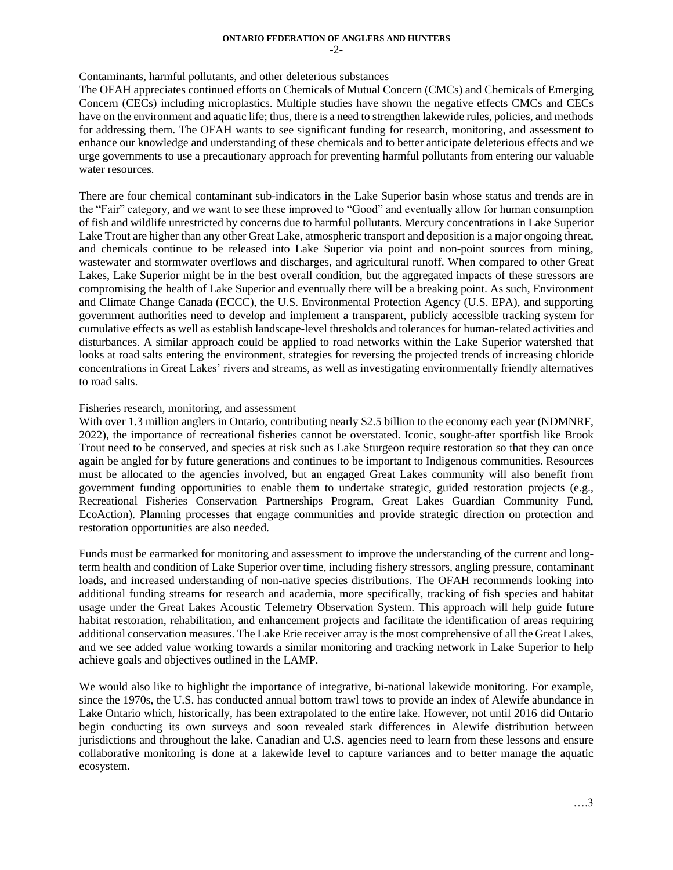#### **ONTARIO FEDERATION OF ANGLERS AND HUNTERS** -2-

#### Contaminants, harmful pollutants, and other deleterious substances

The OFAH appreciates continued efforts on Chemicals of Mutual Concern (CMCs) and Chemicals of Emerging Concern (CECs) including microplastics. Multiple studies have shown the negative effects CMCs and CECs have on the environment and aquatic life; thus, there is a need to strengthen lakewide rules, policies, and methods for addressing them. The OFAH wants to see significant funding for research, monitoring, and assessment to enhance our knowledge and understanding of these chemicals and to better anticipate deleterious effects and we urge governments to use a precautionary approach for preventing harmful pollutants from entering our valuable water resources.

There are four chemical contaminant sub-indicators in the Lake Superior basin whose status and trends are in the "Fair" category, and we want to see these improved to "Good" and eventually allow for human consumption of fish and wildlife unrestricted by concerns due to harmful pollutants. Mercury concentrations in Lake Superior Lake Trout are higher than any other Great Lake, atmospheric transport and deposition is a major ongoing threat, and chemicals continue to be released into Lake Superior via point and non-point sources from mining, wastewater and stormwater overflows and discharges, and agricultural runoff. When compared to other Great Lakes, Lake Superior might be in the best overall condition, but the aggregated impacts of these stressors are compromising the health of Lake Superior and eventually there will be a breaking point. As such, Environment and Climate Change Canada (ECCC), the U.S. Environmental Protection Agency (U.S. EPA), and supporting government authorities need to develop and implement a transparent, publicly accessible tracking system for cumulative effects as well as establish landscape-level thresholds and tolerances for human-related activities and disturbances. A similar approach could be applied to road networks within the Lake Superior watershed that looks at road salts entering the environment, strategies for reversing the projected trends of increasing chloride concentrations in Great Lakes' rivers and streams, as well as investigating environmentally friendly alternatives to road salts.

## Fisheries research, monitoring, and assessment

With over 1.3 million anglers in Ontario, contributing nearly \$2.5 billion to the economy each year (NDMNRF, 2022), the importance of recreational fisheries cannot be overstated. Iconic, sought-after sportfish like Brook Trout need to be conserved, and species at risk such as Lake Sturgeon require restoration so that they can once again be angled for by future generations and continues to be important to Indigenous communities. Resources must be allocated to the agencies involved, but an engaged Great Lakes community will also benefit from government funding opportunities to enable them to undertake strategic, guided restoration projects (e.g., Recreational Fisheries Conservation Partnerships Program, Great Lakes Guardian Community Fund, EcoAction). Planning processes that engage communities and provide strategic direction on protection and restoration opportunities are also needed.

Funds must be earmarked for monitoring and assessment to improve the understanding of the current and longterm health and condition of Lake Superior over time, including fishery stressors, angling pressure, contaminant loads, and increased understanding of non-native species distributions. The OFAH recommends looking into additional funding streams for research and academia, more specifically, tracking of fish species and habitat usage under the Great Lakes Acoustic Telemetry Observation System. This approach will help guide future habitat restoration, rehabilitation, and enhancement projects and facilitate the identification of areas requiring additional conservation measures. The Lake Erie receiver array is the most comprehensive of all the Great Lakes, and we see added value working towards a similar monitoring and tracking network in Lake Superior to help achieve goals and objectives outlined in the LAMP.

We would also like to highlight the importance of integrative, bi-national lakewide monitoring. For example, since the 1970s, the U.S. has conducted annual bottom trawl tows to provide an index of Alewife abundance in Lake Ontario which, historically, has been extrapolated to the entire lake. However, not until 2016 did Ontario begin conducting its own surveys and soon revealed stark differences in Alewife distribution between jurisdictions and throughout the lake. Canadian and U.S. agencies need to learn from these lessons and ensure collaborative monitoring is done at a lakewide level to capture variances and to better manage the aquatic ecosystem.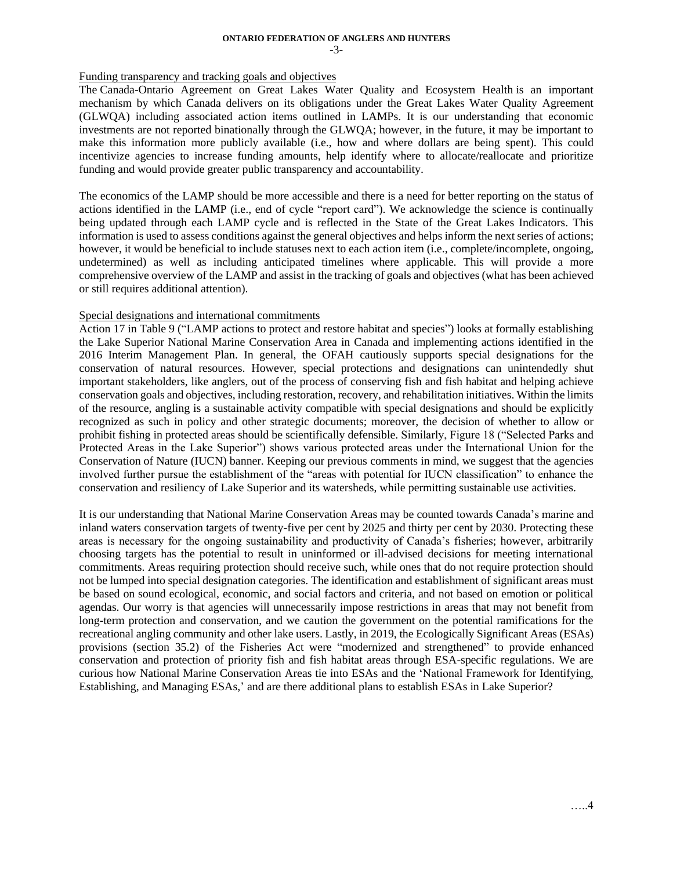#### **ONTARIO FEDERATION OF ANGLERS AND HUNTERS** -3-

#### Funding transparency and tracking goals and objectives

The Canada-Ontario Agreement on Great Lakes Water Quality and Ecosystem Health is an important mechanism by which Canada delivers on its obligations under the Great Lakes Water Quality Agreement (GLWQA) including associated action items outlined in LAMPs. It is our understanding that economic investments are not reported binationally through the GLWQA; however, in the future, it may be important to make this information more publicly available (i.e., how and where dollars are being spent). This could incentivize agencies to increase funding amounts, help identify where to allocate/reallocate and prioritize funding and would provide greater public transparency and accountability.

The economics of the LAMP should be more accessible and there is a need for better reporting on the status of actions identified in the LAMP (i.e., end of cycle "report card"). We acknowledge the science is continually being updated through each LAMP cycle and is reflected in the State of the Great Lakes Indicators. This information is used to assess conditions against the general objectives and helps inform the next series of actions; however, it would be beneficial to include statuses next to each action item (i.e., complete/incomplete, ongoing, undetermined) as well as including anticipated timelines where applicable. This will provide a more comprehensive overview of the LAMP and assist in the tracking of goals and objectives (what has been achieved or still requires additional attention).

## Special designations and international commitments

Action 17 in Table 9 ("LAMP actions to protect and restore habitat and species") looks at formally establishing the Lake Superior National Marine Conservation Area in Canada and implementing actions identified in the 2016 Interim Management Plan. In general, the OFAH cautiously supports special designations for the conservation of natural resources. However, special protections and designations can unintendedly shut important stakeholders, like anglers, out of the process of conserving fish and fish habitat and helping achieve conservation goals and objectives, including restoration, recovery, and rehabilitation initiatives. Within the limits of the resource, angling is a sustainable activity compatible with special designations and should be explicitly recognized as such in policy and other strategic documents; moreover, the decision of whether to allow or prohibit fishing in protected areas should be scientifically defensible. Similarly, Figure 18 ("Selected Parks and Protected Areas in the Lake Superior") shows various protected areas under the International Union for the Conservation of Nature (IUCN) banner. Keeping our previous comments in mind, we suggest that the agencies involved further pursue the establishment of the "areas with potential for IUCN classification" to enhance the conservation and resiliency of Lake Superior and its watersheds, while permitting sustainable use activities.

It is our understanding that National Marine Conservation Areas may be counted towards Canada's marine and inland waters conservation targets of twenty-five per cent by 2025 and thirty per cent by 2030. Protecting these areas is necessary for the ongoing sustainability and productivity of Canada's fisheries; however, arbitrarily choosing targets has the potential to result in uninformed or ill-advised decisions for meeting international commitments. Areas requiring protection should receive such, while ones that do not require protection should not be lumped into special designation categories. The identification and establishment of significant areas must be based on sound ecological, economic, and social factors and criteria, and not based on emotion or political agendas. Our worry is that agencies will unnecessarily impose restrictions in areas that may not benefit from long-term protection and conservation, and we caution the government on the potential ramifications for the recreational angling community and other lake users. Lastly, in 2019, the Ecologically Significant Areas (ESAs) provisions (section 35.2) of the Fisheries Act were "modernized and strengthened" to provide enhanced conservation and protection of priority fish and fish habitat areas through ESA-specific regulations. We are curious how National Marine Conservation Areas tie into ESAs and the 'National Framework for Identifying, Establishing, and Managing ESAs,' and are there additional plans to establish ESAs in Lake Superior?